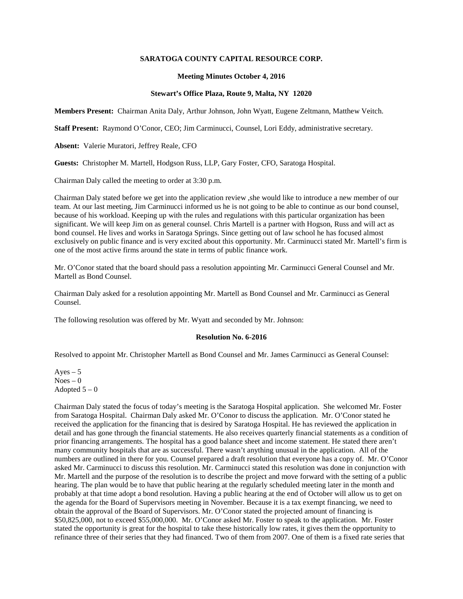## **SARATOGA COUNTY CAPITAL RESOURCE CORP.**

### **Meeting Minutes October 4, 2016**

## **Stewart's Office Plaza, Route 9, Malta, NY 12020**

**Members Present:** Chairman Anita Daly, Arthur Johnson, John Wyatt, Eugene Zeltmann, Matthew Veitch.

**Staff Present:** Raymond O'Conor, CEO; Jim Carminucci, Counsel, Lori Eddy, administrative secretary.

**Absent:** Valerie Muratori, Jeffrey Reale, CFO

**Guests:** Christopher M. Martell, Hodgson Russ, LLP, Gary Foster, CFO, Saratoga Hospital.

Chairman Daly called the meeting to order at 3:30 p.m.

Chairman Daly stated before we get into the application review ,she would like to introduce a new member of our team. At our last meeting, Jim Carminucci informed us he is not going to be able to continue as our bond counsel, because of his workload. Keeping up with the rules and regulations with this particular organization has been significant. We will keep Jim on as general counsel. Chris Martell is a partner with Hogson, Russ and will act as bond counsel. He lives and works in Saratoga Springs. Since getting out of law school he has focused almost exclusively on public finance and is very excited about this opportunity. Mr. Carminucci stated Mr. Martell's firm is one of the most active firms around the state in terms of public finance work.

Mr. O'Conor stated that the board should pass a resolution appointing Mr. Carminucci General Counsel and Mr. Martell as Bond Counsel.

Chairman Daly asked for a resolution appointing Mr. Martell as Bond Counsel and Mr. Carminucci as General Counsel.

The following resolution was offered by Mr. Wyatt and seconded by Mr. Johnson:

#### **Resolution No. 6-2016**

Resolved to appoint Mr. Christopher Martell as Bond Counsel and Mr. James Carminucci as General Counsel:

Ayes  $-5$  $Noes - 0$ Adopted  $5 - 0$ 

Chairman Daly stated the focus of today's meeting is the Saratoga Hospital application. She welcomed Mr. Foster from Saratoga Hospital. Chairman Daly asked Mr. O'Conor to discuss the application. Mr. O'Conor stated he received the application for the financing that is desired by Saratoga Hospital. He has reviewed the application in detail and has gone through the financial statements. He also receives quarterly financial statements as a condition of prior financing arrangements. The hospital has a good balance sheet and income statement. He stated there aren't many community hospitals that are as successful. There wasn't anything unusual in the application. All of the numbers are outlined in there for you. Counsel prepared a draft resolution that everyone has a copy of. Mr. O'Conor asked Mr. Carminucci to discuss this resolution. Mr. Carminucci stated this resolution was done in conjunction with Mr. Martell and the purpose of the resolution is to describe the project and move forward with the setting of a public hearing. The plan would be to have that public hearing at the regularly scheduled meeting later in the month and probably at that time adopt a bond resolution. Having a public hearing at the end of October will allow us to get on the agenda for the Board of Supervisors meeting in November. Because it is a tax exempt financing, we need to obtain the approval of the Board of Supervisors. Mr. O'Conor stated the projected amount of financing is \$50,825,000, not to exceed \$55,000,000. Mr. O'Conor asked Mr. Foster to speak to the application. Mr. Foster stated the opportunity is great for the hospital to take these historically low rates, it gives them the opportunity to refinance three of their series that they had financed. Two of them from 2007. One of them is a fixed rate series that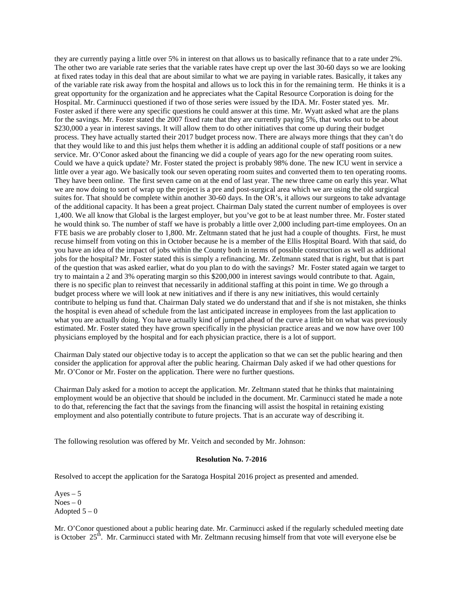they are currently paying a little over 5% in interest on that allows us to basically refinance that to a rate under 2%. The other two are variable rate series that the variable rates have crept up over the last 30-60 days so we are looking at fixed rates today in this deal that are about similar to what we are paying in variable rates. Basically, it takes any of the variable rate risk away from the hospital and allows us to lock this in for the remaining term. He thinks it is a great opportunity for the organization and he appreciates what the Capital Resource Corporation is doing for the Hospital. Mr. Carminucci questioned if two of those series were issued by the IDA. Mr. Foster stated yes. Mr. Foster asked if there were any specific questions he could answer at this time. Mr. Wyatt asked what are the plans for the savings. Mr. Foster stated the 2007 fixed rate that they are currently paying 5%, that works out to be about \$230,000 a year in interest savings. It will allow them to do other initiatives that come up during their budget process. They have actually started their 2017 budget process now. There are always more things that they can't do that they would like to and this just helps them whether it is adding an additional couple of staff positions or a new service. Mr. O'Conor asked about the financing we did a couple of years ago for the new operating room suites. Could we have a quick update? Mr. Foster stated the project is probably 98% done. The new ICU went in service a little over a year ago. We basically took our seven operating room suites and converted them to ten operating rooms. They have been online. The first seven came on at the end of last year. The new three came on early this year. What we are now doing to sort of wrap up the project is a pre and post-surgical area which we are using the old surgical suites for. That should be complete within another 30-60 days. In the OR's, it allows our surgeons to take advantage of the additional capacity. It has been a great project. Chairman Daly stated the current number of employees is over 1,400. We all know that Global is the largest employer, but you've got to be at least number three. Mr. Foster stated he would think so. The number of staff we have is probably a little over 2,000 including part-time employees. On an FTE basis we are probably closer to 1,800. Mr. Zeltmann stated that he just had a couple of thoughts. First, he must recuse himself from voting on this in October because he is a member of the Ellis Hospital Board. With that said, do you have an idea of the impact of jobs within the County both in terms of possible construction as well as additional jobs for the hospital? Mr. Foster stated this is simply a refinancing. Mr. Zeltmann stated that is right, but that is part of the question that was asked earlier, what do you plan to do with the savings? Mr. Foster stated again we target to try to maintain a 2 and 3% operating margin so this \$200,000 in interest savings would contribute to that. Again, there is no specific plan to reinvest that necessarily in additional staffing at this point in time. We go through a budget process where we will look at new initiatives and if there is any new initiatives, this would certainly contribute to helping us fund that. Chairman Daly stated we do understand that and if she is not mistaken, she thinks the hospital is even ahead of schedule from the last anticipated increase in employees from the last application to what you are actually doing. You have actually kind of jumped ahead of the curve a little bit on what was previously estimated. Mr. Foster stated they have grown specifically in the physician practice areas and we now have over 100 physicians employed by the hospital and for each physician practice, there is a lot of support.

Chairman Daly stated our objective today is to accept the application so that we can set the public hearing and then consider the application for approval after the public hearing. Chairman Daly asked if we had other questions for Mr. O'Conor or Mr. Foster on the application. There were no further questions.

Chairman Daly asked for a motion to accept the application. Mr. Zeltmann stated that he thinks that maintaining employment would be an objective that should be included in the document. Mr. Carminucci stated he made a note to do that, referencing the fact that the savings from the financing will assist the hospital in retaining existing employment and also potentially contribute to future projects. That is an accurate way of describing it.

The following resolution was offered by Mr. Veitch and seconded by Mr. Johnson:

#### **Resolution No. 7-2016**

Resolved to accept the application for the Saratoga Hospital 2016 project as presented and amended.

 $Ayes - 5$  $Noes - 0$ Adopted  $5-0$ 

Mr. O'Conor questioned about a public hearing date. Mr. Carminucci asked if the regularly scheduled meeting date is October  $25<sup>th</sup>$ . Mr. Carminucci stated with Mr. Zeltmann recusing himself from that vote will everyone else be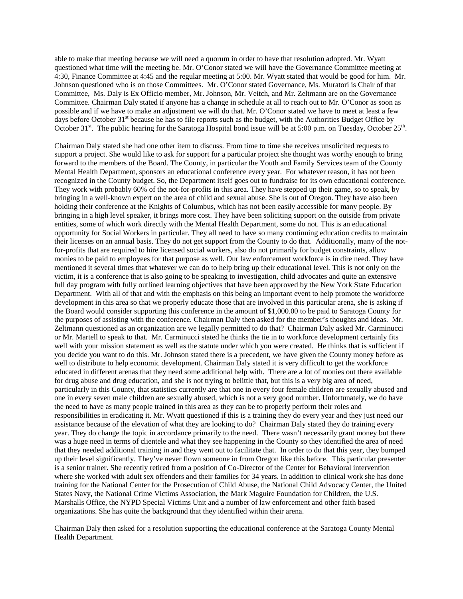able to make that meeting because we will need a quorum in order to have that resolution adopted. Mr. Wyatt questioned what time will the meeting be. Mr. O'Conor stated we will have the Governance Committee meeting at 4:30, Finance Committee at 4:45 and the regular meeting at 5:00. Mr. Wyatt stated that would be good for him. Mr. Johnson questioned who is on those Committees. Mr. O'Conor stated Governance, Ms. Muratori is Chair of that Committee, Ms. Daly is Ex Officio member, Mr. Johnson, Mr. Veitch, and Mr. Zeltmann are on the Governance Committee. Chairman Daly stated if anyone has a change in schedule at all to reach out to Mr. O'Conor as soon as possible and if we have to make an adjustment we will do that. Mr. O'Conor stated we have to meet at least a few days before October 31<sup>st</sup> because he has to file reports such as the budget, with the Authorities Budget Office by October 31 $^{\text{st}}$ . The public hearing for the Saratoga Hospital bond issue will be at 5:00 p.m. on Tuesday, October 25<sup>th</sup>.

Chairman Daly stated she had one other item to discuss. From time to time she receives unsolicited requests to support a project. She would like to ask for support for a particular project she thought was worthy enough to bring forward to the members of the Board. The County, in particular the Youth and Family Services team of the County Mental Health Department, sponsors an educational conference every year. For whatever reason, it has not been recognized in the County budget. So, the Department itself goes out to fundraise for its own educational conference. They work with probably 60% of the not-for-profits in this area. They have stepped up their game, so to speak, by bringing in a well-known expert on the area of child and sexual abuse. She is out of Oregon. They have also been holding their conference at the Knights of Columbus, which has not been easily accessible for many people. By bringing in a high level speaker, it brings more cost. They have been soliciting support on the outside from private entities, some of which work directly with the Mental Health Department, some do not. This is an educational opportunity for Social Workers in particular. They all need to have so many continuing education credits to maintain their licenses on an annual basis. They do not get support from the County to do that. Additionally, many of the notfor-profits that are required to hire licensed social workers, also do not primarily for budget constraints, allow monies to be paid to employees for that purpose as well. Our law enforcement workforce is in dire need. They have mentioned it several times that whatever we can do to help bring up their educational level. This is not only on the victim, it is a conference that is also going to be speaking to investigation, child advocates and quite an extensive full day program with fully outlined learning objectives that have been approved by the New York State Education Department. With all of that and with the emphasis on this being an important event to help promote the workforce development in this area so that we properly educate those that are involved in this particular arena, she is asking if the Board would consider supporting this conference in the amount of \$1,000.00 to be paid to Saratoga County for the purposes of assisting with the conference. Chairman Daly then asked for the member's thoughts and ideas. Mr. Zeltmann questioned as an organization are we legally permitted to do that? Chairman Daly asked Mr. Carminucci or Mr. Martell to speak to that. Mr. Carminucci stated he thinks the tie in to workforce development certainly fits well with your mission statement as well as the statute under which you were created. He thinks that is sufficient if you decide you want to do this. Mr. Johnson stated there is a precedent, we have given the County money before as well to distribute to help economic development. Chairman Daly stated it is very difficult to get the workforce educated in different arenas that they need some additional help with. There are a lot of monies out there available for drug abuse and drug education, and she is not trying to belittle that, but this is a very big area of need, particularly in this County, that statistics currently are that one in every four female children are sexually abused and one in every seven male children are sexually abused, which is not a very good number. Unfortunately, we do have the need to have as many people trained in this area as they can be to properly perform their roles and responsibilities in eradicating it. Mr. Wyatt questioned if this is a training they do every year and they just need our assistance because of the elevation of what they are looking to do? Chairman Daly stated they do training every year. They do change the topic in accordance primarily to the need. There wasn't necessarily grant money but there was a huge need in terms of clientele and what they see happening in the County so they identified the area of need that they needed additional training in and they went out to facilitate that. In order to do that this year, they bumped up their level significantly. They've never flown someone in from Oregon like this before. This particular presenter is a senior trainer. She recently retired from a position of Co-Director of the Center for Behavioral intervention where she worked with adult sex offenders and their families for 34 years. In addition to clinical work she has done training for the National Center for the Prosecution of Child Abuse, the National Child Advocacy Center, the United States Navy, the National Crime Victims Association, the Mark Maguire Foundation for Children, the U.S. Marshalls Office, the NYPD Special Victims Unit and a number of law enforcement and other faith based organizations. She has quite the background that they identified within their arena.

Chairman Daly then asked for a resolution supporting the educational conference at the Saratoga County Mental Health Department.